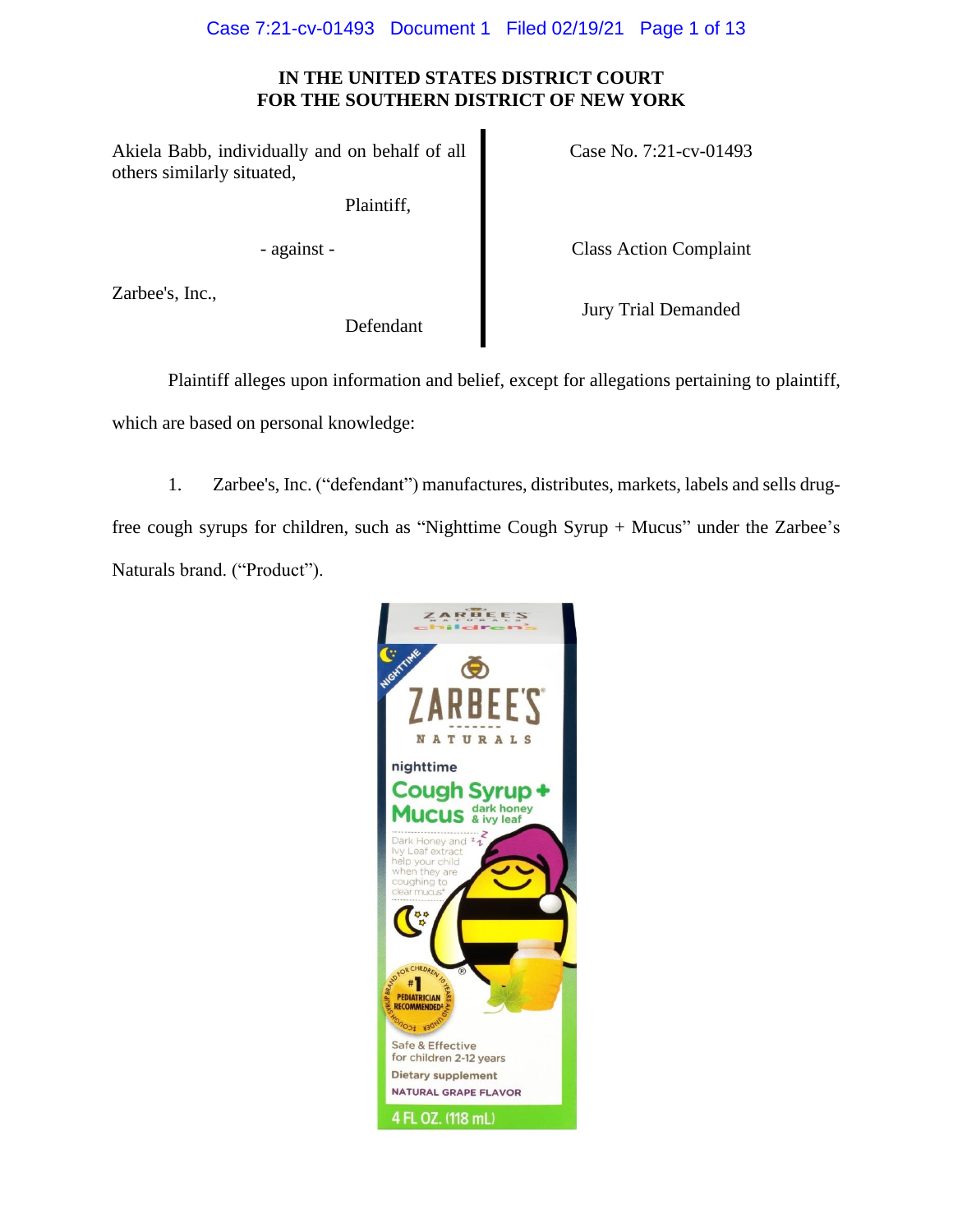# Case 7:21-cv-01493 Document 1 Filed 02/19/21 Page 1 of 13

# **IN THE UNITED STATES DISTRICT COURT FOR THE SOUTHERN DISTRICT OF NEW YORK**

Akiela Babb, individually and on behalf of all others similarly situated,

Plaintiff,

Zarbee's, Inc.,

Case No. 7:21-cv-01493

- against - Class Action Complaint

Defendant

Jury Trial Demanded

Plaintiff alleges upon information and belief, except for allegations pertaining to plaintiff, which are based on personal knowledge:

1. Zarbee's, Inc. ("defendant") manufactures, distributes, markets, labels and sells drugfree cough syrups for children, such as "Nighttime Cough Syrup + Mucus" under the Zarbee's Naturals brand. ("Product").

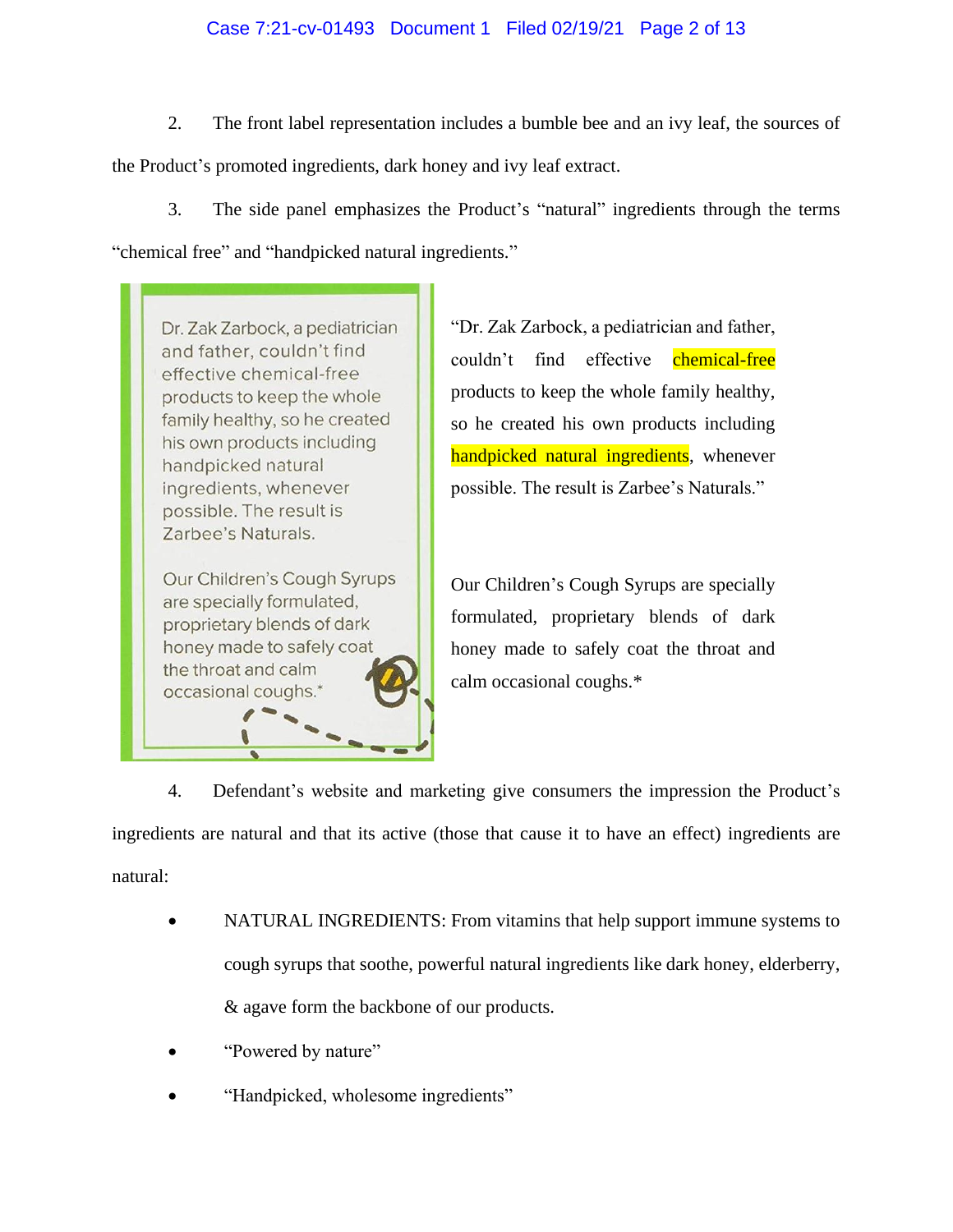# Case 7:21-cv-01493 Document 1 Filed 02/19/21 Page 2 of 13

2. The front label representation includes a bumble bee and an ivy leaf, the sources of the Product's promoted ingredients, dark honey and ivy leaf extract.

3. The side panel emphasizes the Product's "natural" ingredients through the terms "chemical free" and "handpicked natural ingredients."

Dr. Zak Zarbock, a pediatrician and father, couldn't find effective chemical-free products to keep the whole family healthy, so he created his own products including handpicked natural ingredients, whenever possible. The result is Zarbee's Naturals.

Our Children's Cough Syrups are specially formulated, proprietary blends of dark honey made to safely coat the throat and calm occasional coughs.\*

"Dr. Zak Zarbock, a pediatrician and father, couldn't find effective chemical-free products to keep the whole family healthy, so he created his own products including handpicked natural ingredients, whenever possible. The result is Zarbee's Naturals."

Our Children's Cough Syrups are specially formulated, proprietary blends of dark honey made to safely coat the throat and calm occasional coughs.\*

4. Defendant's website and marketing give consumers the impression the Product's ingredients are natural and that its active (those that cause it to have an effect) ingredients are natural:

- NATURAL INGREDIENTS: From vitamins that help support immune systems to cough syrups that soothe, powerful natural ingredients like dark honey, elderberry, & agave form the backbone of our products.
- "Powered by nature"
- "Handpicked, wholesome ingredients"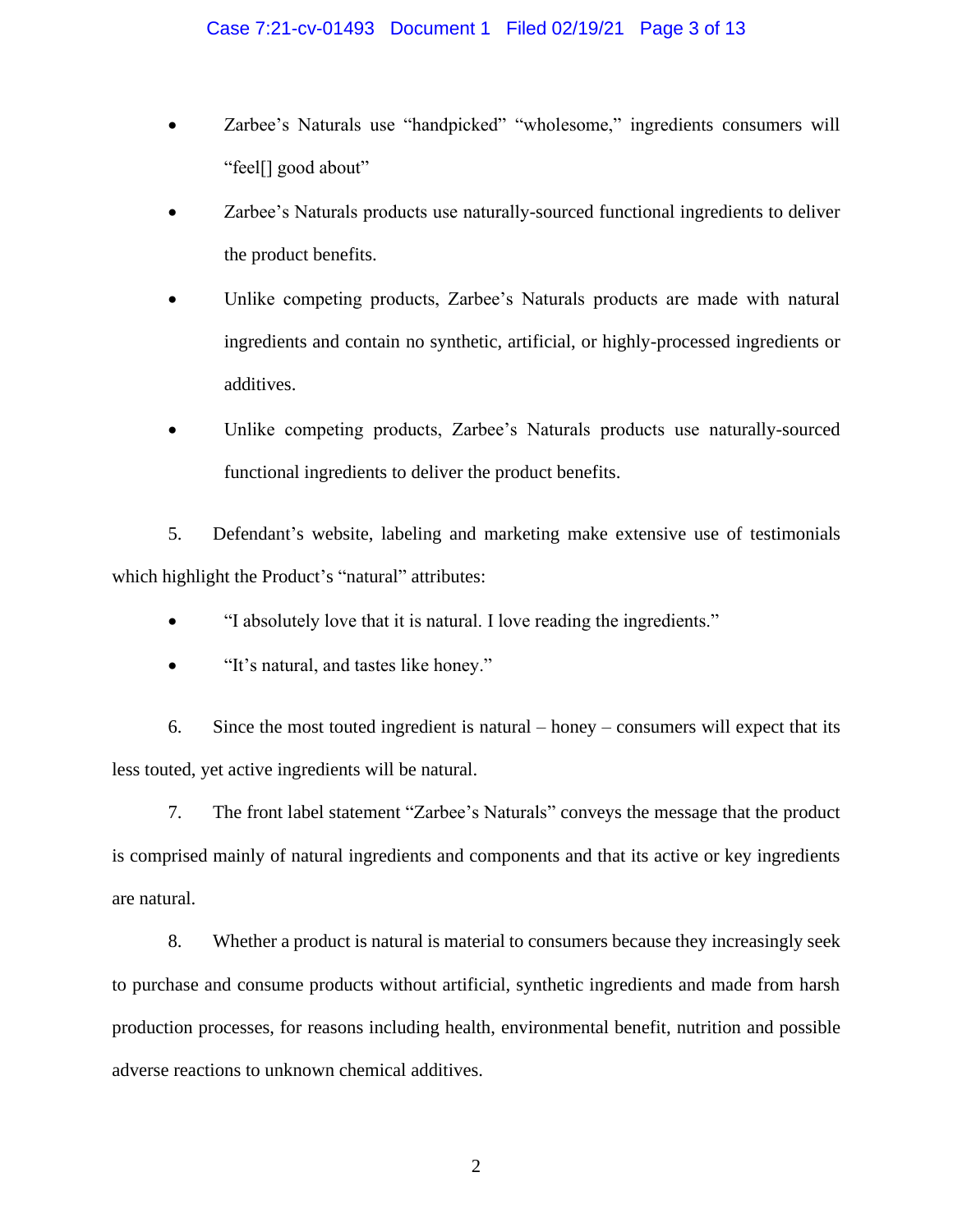## Case 7:21-cv-01493 Document 1 Filed 02/19/21 Page 3 of 13

- Zarbee's Naturals use "handpicked" "wholesome," ingredients consumers will "feel[] good about"
- Zarbee's Naturals products use naturally-sourced functional ingredients to deliver the product benefits.
- Unlike competing products, Zarbee's Naturals products are made with natural ingredients and contain no synthetic, artificial, or highly-processed ingredients or additives.
- Unlike competing products, Zarbee's Naturals products use naturally-sourced functional ingredients to deliver the product benefits.

5. Defendant's website, labeling and marketing make extensive use of testimonials which highlight the Product's "natural" attributes:

- "I absolutely love that it is natural. I love reading the ingredients."
- "It's natural, and tastes like honey."

6. Since the most touted ingredient is natural – honey – consumers will expect that its less touted, yet active ingredients will be natural.

7. The front label statement "Zarbee's Naturals" conveys the message that the product is comprised mainly of natural ingredients and components and that its active or key ingredients are natural.

8. Whether a product is natural is material to consumers because they increasingly seek to purchase and consume products without artificial, synthetic ingredients and made from harsh production processes, for reasons including health, environmental benefit, nutrition and possible adverse reactions to unknown chemical additives.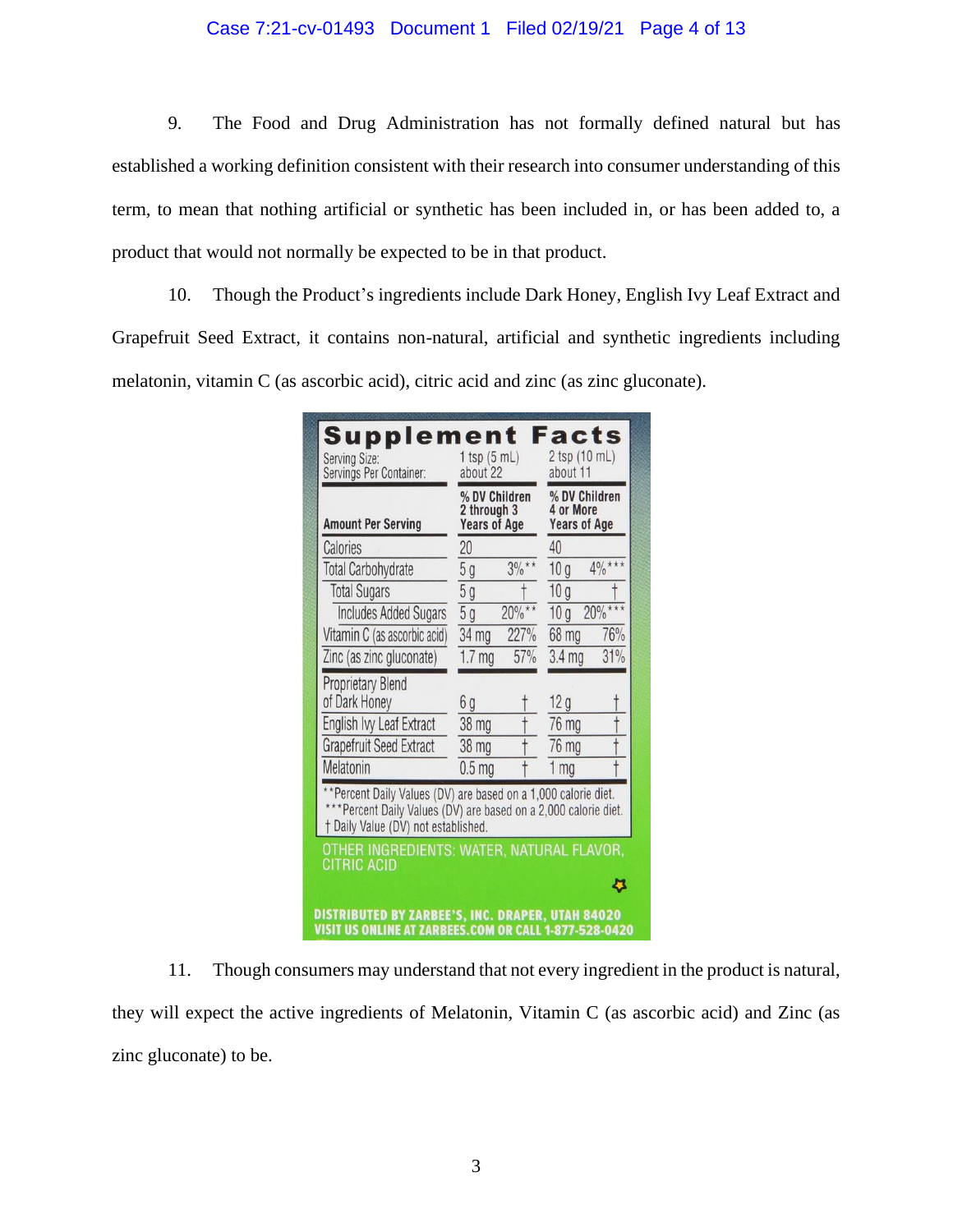# Case 7:21-cv-01493 Document 1 Filed 02/19/21 Page 4 of 13

9. The Food and Drug Administration has not formally defined natural but has established a working definition consistent with their research into consumer understanding of this term, to mean that nothing artificial or synthetic has been included in, or has been added to, a product that would not normally be expected to be in that product.

10. Though the Product's ingredients include Dark Honey, English Ivy Leaf Extract and Grapefruit Seed Extract, it contains non-natural, artificial and synthetic ingredients including melatonin, vitamin C (as ascorbic acid), citric acid and zinc (as zinc gluconate).

| <b>Amount Per Serving</b>                                                                                                                                                 | % DV Children<br>2 through 3<br><b>Years of Age</b> |           | % DV Children<br>4 or More<br><b>Years of Age</b> |          |
|---------------------------------------------------------------------------------------------------------------------------------------------------------------------------|-----------------------------------------------------|-----------|---------------------------------------------------|----------|
| Calories                                                                                                                                                                  | 20                                                  |           | 40                                                |          |
| <b>Total Carbohydrate</b>                                                                                                                                                 | 5 <sub>g</sub>                                      | $3\%$ **  | 10 <sub>g</sub>                                   | $4\%***$ |
| <b>Total Sugars</b>                                                                                                                                                       | 5g                                                  |           | 10 <sub>g</sub>                                   |          |
| <b>Includes Added Sugars</b>                                                                                                                                              | $\overline{5g}$                                     | $20\%***$ | 10 <sub>q</sub>                                   | 20%      |
| Vitamin C (as ascorbic acid)                                                                                                                                              | 34 mg                                               | 227%      | 68 mg                                             | 76%      |
| Zinc (as zinc gluconate)                                                                                                                                                  | 1.7 <sub>mg</sub>                                   | 57%       | 3.4 <sub>mg</sub>                                 | 31%      |
| <b>Proprietary Blend</b>                                                                                                                                                  |                                                     |           |                                                   |          |
| of Dark Honey                                                                                                                                                             | 6 g                                                 |           | 12g                                               |          |
| English Ivy Leaf Extract                                                                                                                                                  | 38 mg                                               |           | 76 mg                                             |          |
| <b>Grapefruit Seed Extract</b>                                                                                                                                            | 38 mg                                               |           | 76 mg                                             |          |
| Melatonin                                                                                                                                                                 | 0.5 <sub>mg</sub>                                   |           | mg                                                |          |
| **Percent Daily Values (DV) are based on a 1,000 calorie diet.<br>*** Percent Daily Values (DV) are based on a 2,000 calorie diet.<br>† Daily Value (DV) not established. |                                                     |           |                                                   |          |
| OTHER INGREDIENTS: WATER, NATURAL FLAVOR,<br>CITRIC ACID                                                                                                                  |                                                     |           |                                                   |          |

11. Though consumers may understand that not every ingredient in the product is natural, they will expect the active ingredients of Melatonin, Vitamin C (as ascorbic acid) and Zinc (as zinc gluconate) to be.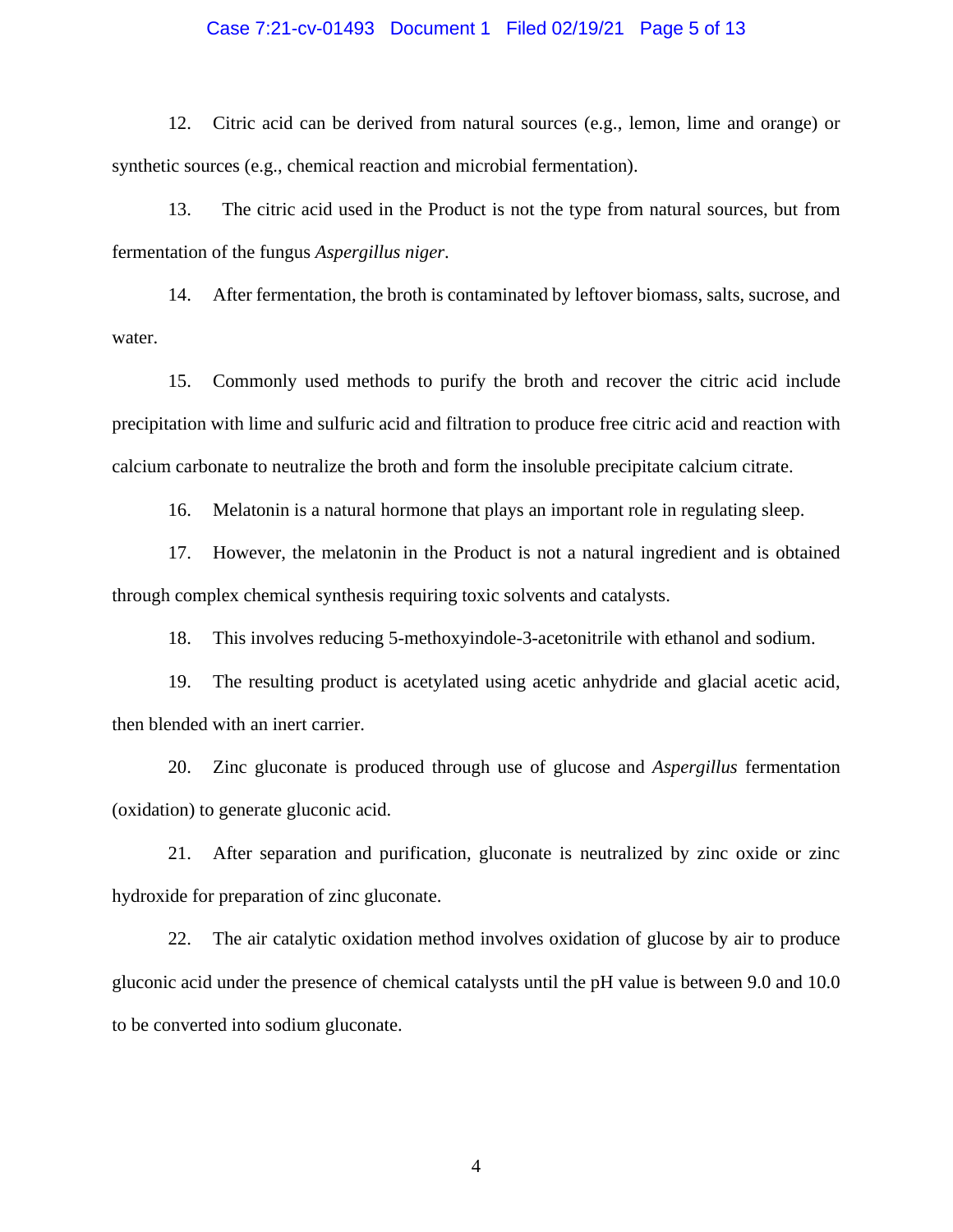## Case 7:21-cv-01493 Document 1 Filed 02/19/21 Page 5 of 13

12. Citric acid can be derived from natural sources (e.g., lemon, lime and orange) or synthetic sources (e.g., chemical reaction and microbial fermentation).

13. The citric acid used in the Product is not the type from natural sources, but from fermentation of the fungus *Aspergillus niger*.

14. After fermentation, the broth is contaminated by leftover biomass, salts, sucrose, and water.

15. Commonly used methods to purify the broth and recover the citric acid include precipitation with lime and sulfuric acid and filtration to produce free citric acid and reaction with calcium carbonate to neutralize the broth and form the insoluble precipitate calcium citrate.

16. Melatonin is a natural hormone that plays an important role in regulating sleep.

17. However, the melatonin in the Product is not a natural ingredient and is obtained through complex chemical synthesis requiring toxic solvents and catalysts.

18. This involves reducing 5-methoxyindole-3-acetonitrile with ethanol and sodium.

19. The resulting product is acetylated using acetic anhydride and glacial acetic acid, then blended with an inert carrier.

20. Zinc gluconate is produced through use of glucose and *Aspergillus* fermentation (oxidation) to generate gluconic acid.

21. After separation and purification, gluconate is neutralized by zinc oxide or zinc hydroxide for preparation of zinc gluconate.

22. The air catalytic oxidation method involves oxidation of glucose by air to produce gluconic acid under the presence of chemical catalysts until the pH value is between 9.0 and 10.0 to be converted into sodium gluconate.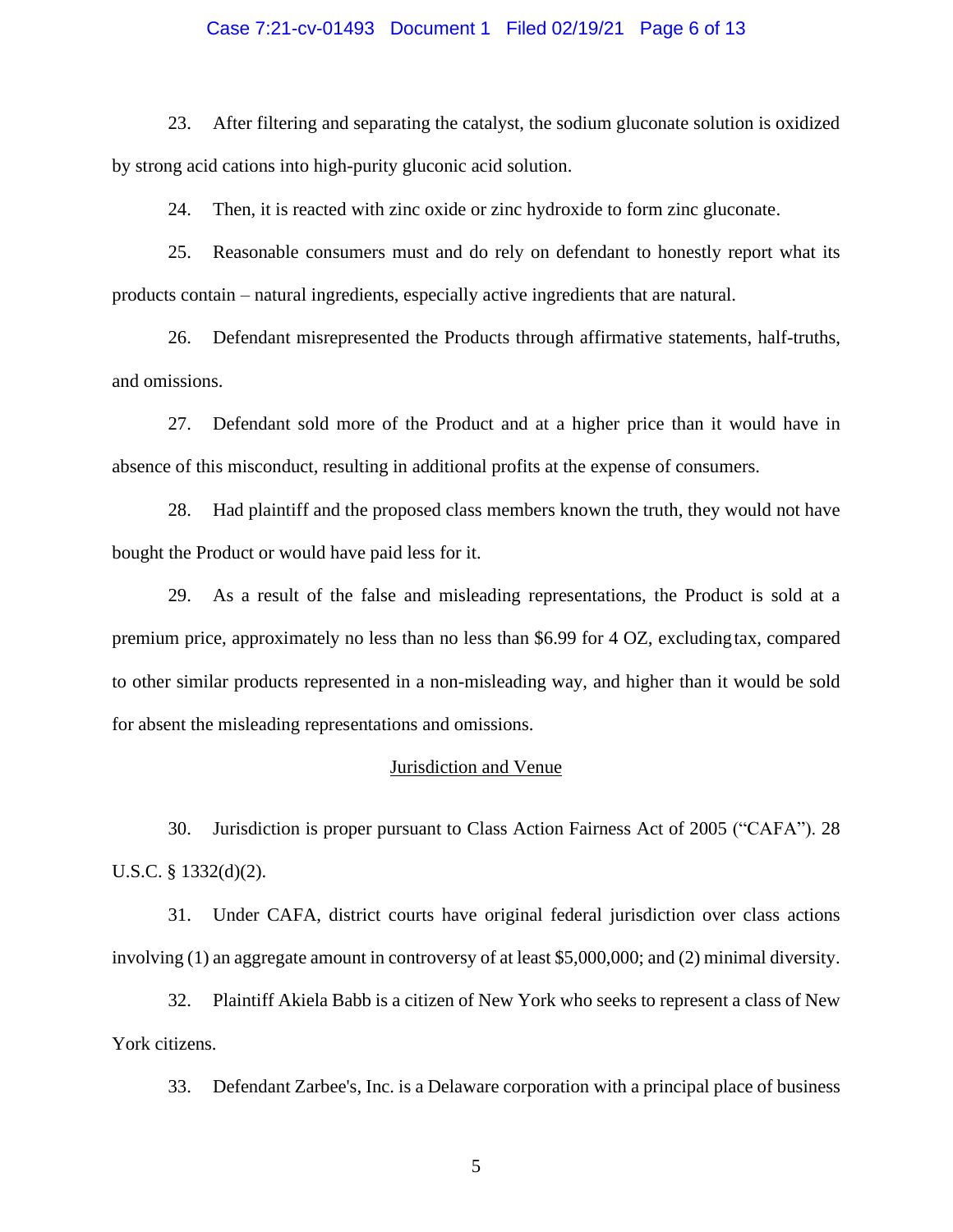## Case 7:21-cv-01493 Document 1 Filed 02/19/21 Page 6 of 13

23. After filtering and separating the catalyst, the sodium gluconate solution is oxidized by strong acid cations into high-purity gluconic acid solution.

24. Then, it is reacted with zinc oxide or zinc hydroxide to form zinc gluconate.

25. Reasonable consumers must and do rely on defendant to honestly report what its products contain – natural ingredients, especially active ingredients that are natural.

26. Defendant misrepresented the Products through affirmative statements, half-truths, and omissions.

27. Defendant sold more of the Product and at a higher price than it would have in absence of this misconduct, resulting in additional profits at the expense of consumers.

28. Had plaintiff and the proposed class members known the truth, they would not have bought the Product or would have paid less for it.

29. As a result of the false and misleading representations, the Product is sold at a premium price, approximately no less than no less than \$6.99 for 4 OZ, excludingtax, compared to other similar products represented in a non-misleading way, and higher than it would be sold for absent the misleading representations and omissions.

## **Jurisdiction and Venue**

30. Jurisdiction is proper pursuant to Class Action Fairness Act of 2005 ("CAFA"). 28 U.S.C. § 1332(d)(2).

31. Under CAFA, district courts have original federal jurisdiction over class actions involving (1) an aggregate amount in controversy of at least \$5,000,000; and (2) minimal diversity.

32. Plaintiff Akiela Babb is a citizen of New York who seeks to represent a class of New York citizens.

33. Defendant Zarbee's, Inc. is a Delaware corporation with a principal place of business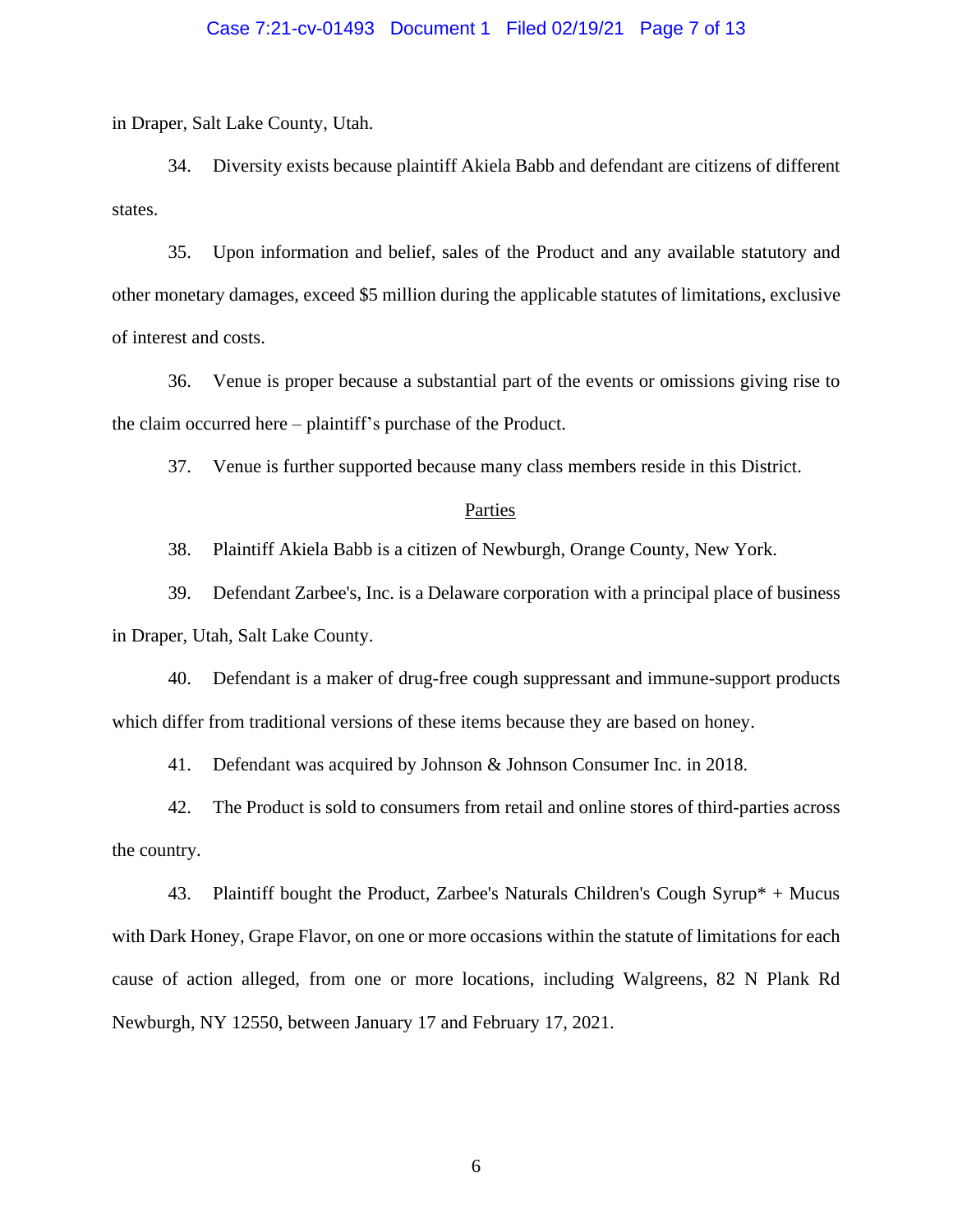## Case 7:21-cv-01493 Document 1 Filed 02/19/21 Page 7 of 13

in Draper, Salt Lake County, Utah.

34. Diversity exists because plaintiff Akiela Babb and defendant are citizens of different states.

35. Upon information and belief, sales of the Product and any available statutory and other monetary damages, exceed \$5 million during the applicable statutes of limitations, exclusive of interest and costs.

36. Venue is proper because a substantial part of the events or omissions giving rise to the claim occurred here – plaintiff's purchase of the Product.

37. Venue is further supported because many class members reside in this District.

#### Parties

38. Plaintiff Akiela Babb is a citizen of Newburgh, Orange County, New York.

39. Defendant Zarbee's, Inc. is a Delaware corporation with a principal place of business in Draper, Utah, Salt Lake County.

40. Defendant is a maker of drug-free cough suppressant and immune-support products which differ from traditional versions of these items because they are based on honey.

41. Defendant was acquired by Johnson & Johnson Consumer Inc. in 2018.

42. The Product is sold to consumers from retail and online stores of third-parties across the country.

43. Plaintiff bought the Product, Zarbee's Naturals Children's Cough Syrup\* + Mucus with Dark Honey, Grape Flavor, on one or more occasions within the statute of limitations for each cause of action alleged, from one or more locations, including Walgreens, 82 N Plank Rd Newburgh, NY 12550, between January 17 and February 17, 2021.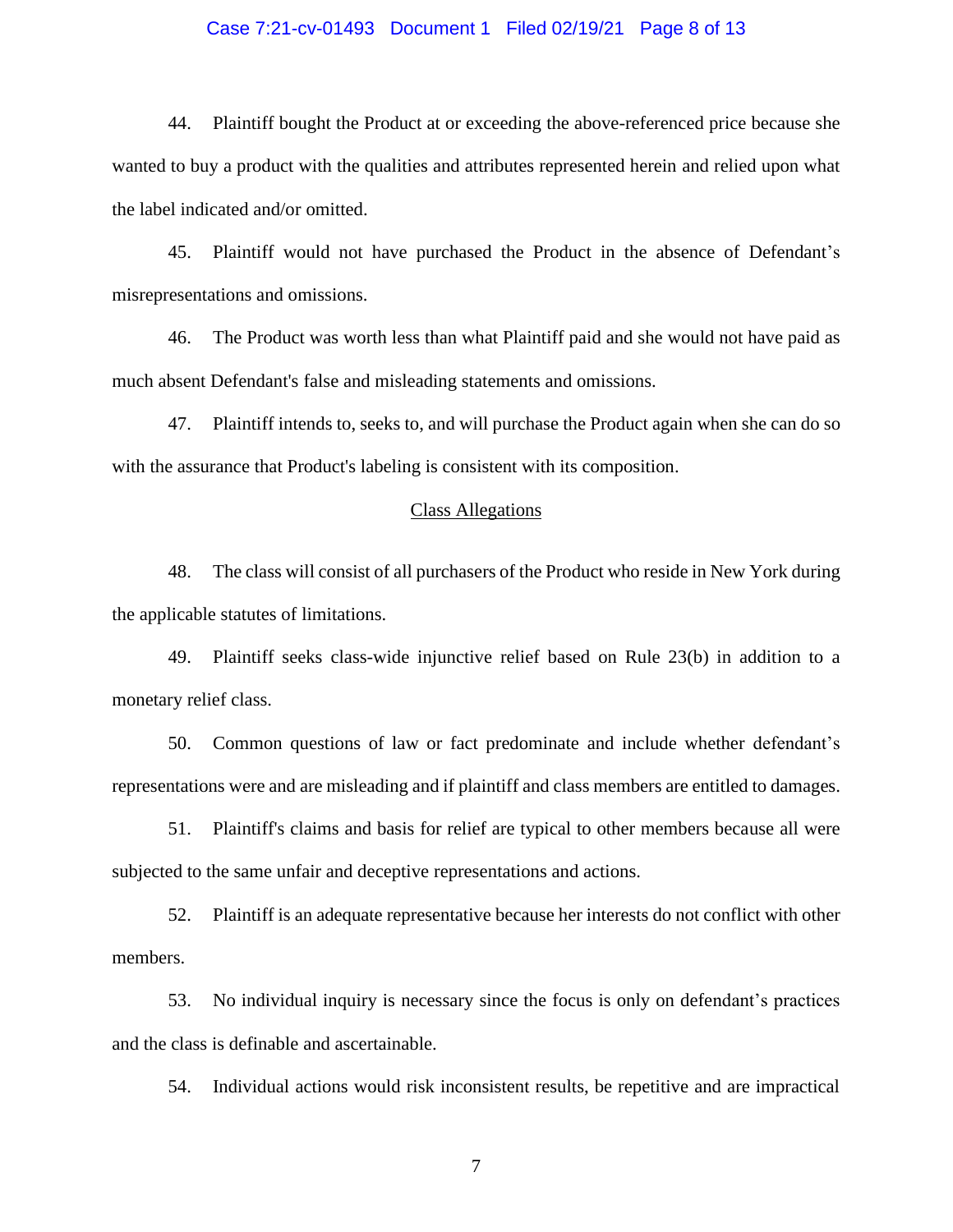## Case 7:21-cv-01493 Document 1 Filed 02/19/21 Page 8 of 13

44. Plaintiff bought the Product at or exceeding the above-referenced price because she wanted to buy a product with the qualities and attributes represented herein and relied upon what the label indicated and/or omitted.

45. Plaintiff would not have purchased the Product in the absence of Defendant's misrepresentations and omissions.

46. The Product was worth less than what Plaintiff paid and she would not have paid as much absent Defendant's false and misleading statements and omissions.

47. Plaintiff intends to, seeks to, and will purchase the Product again when she can do so with the assurance that Product's labeling is consistent with its composition.

#### Class Allegations

48. The class will consist of all purchasers of the Product who reside in New York during the applicable statutes of limitations.

49. Plaintiff seeks class-wide injunctive relief based on Rule 23(b) in addition to a monetary relief class.

50. Common questions of law or fact predominate and include whether defendant's representations were and are misleading and if plaintiff and class members are entitled to damages.

51. Plaintiff's claims and basis for relief are typical to other members because all were subjected to the same unfair and deceptive representations and actions.

52. Plaintiff is an adequate representative because her interests do not conflict with other members.

53. No individual inquiry is necessary since the focus is only on defendant's practices and the class is definable and ascertainable.

54. Individual actions would risk inconsistent results, be repetitive and are impractical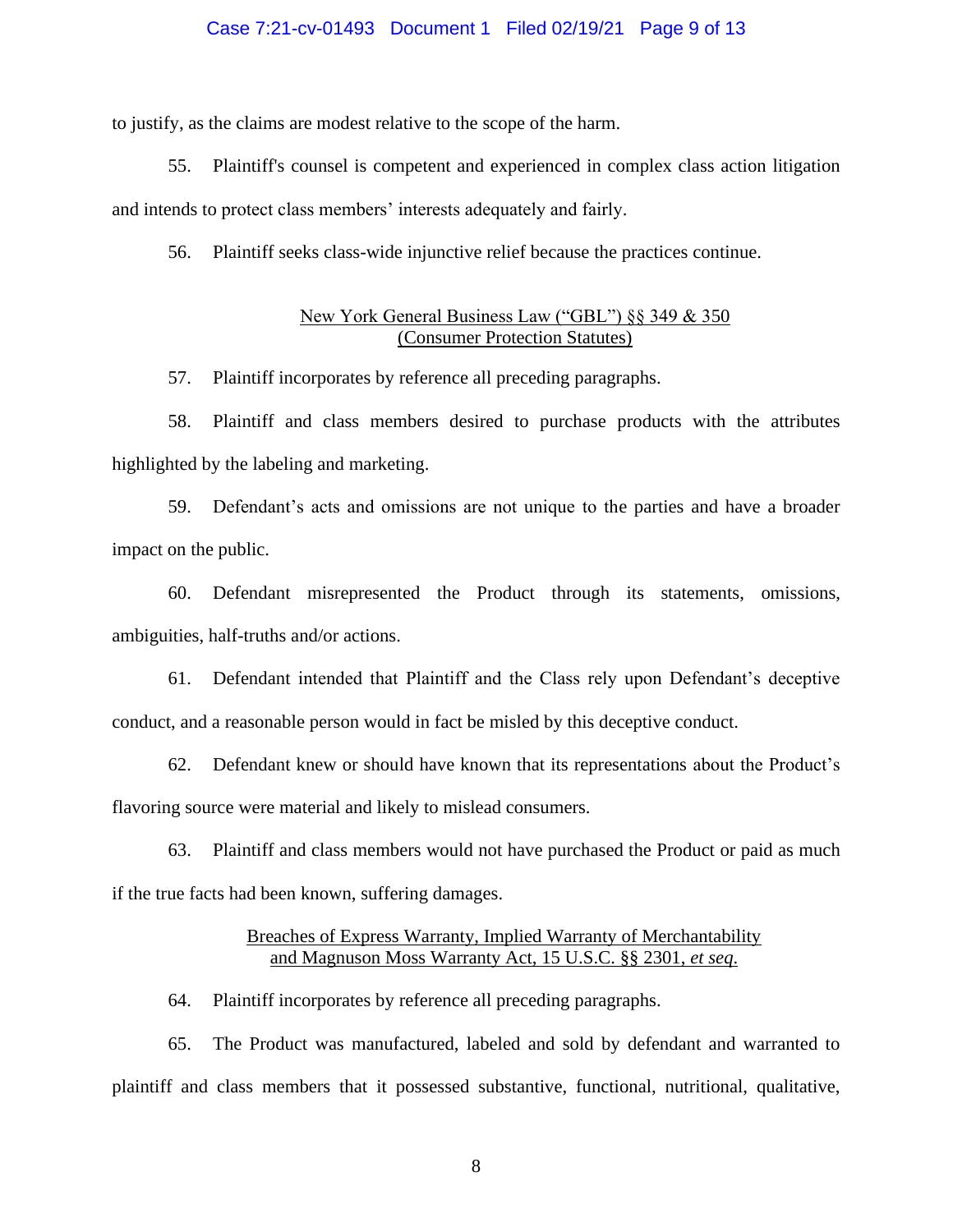### Case 7:21-cv-01493 Document 1 Filed 02/19/21 Page 9 of 13

to justify, as the claims are modest relative to the scope of the harm.

55. Plaintiff's counsel is competent and experienced in complex class action litigation and intends to protect class members' interests adequately and fairly.

56. Plaintiff seeks class-wide injunctive relief because the practices continue.

## New York General Business Law ("GBL") §§ 349 & 350 (Consumer Protection Statutes)

57. Plaintiff incorporates by reference all preceding paragraphs.

58. Plaintiff and class members desired to purchase products with the attributes highlighted by the labeling and marketing.

59. Defendant's acts and omissions are not unique to the parties and have a broader impact on the public.

60. Defendant misrepresented the Product through its statements, omissions, ambiguities, half-truths and/or actions.

61. Defendant intended that Plaintiff and the Class rely upon Defendant's deceptive conduct, and a reasonable person would in fact be misled by this deceptive conduct.

62. Defendant knew or should have known that its representations about the Product's flavoring source were material and likely to mislead consumers.

63. Plaintiff and class members would not have purchased the Product or paid as much if the true facts had been known, suffering damages.

## Breaches of Express Warranty, Implied Warranty of Merchantability and Magnuson Moss Warranty Act, 15 U.S.C. §§ 2301, *et seq*.

64. Plaintiff incorporates by reference all preceding paragraphs.

65. The Product was manufactured, labeled and sold by defendant and warranted to plaintiff and class members that it possessed substantive, functional, nutritional, qualitative,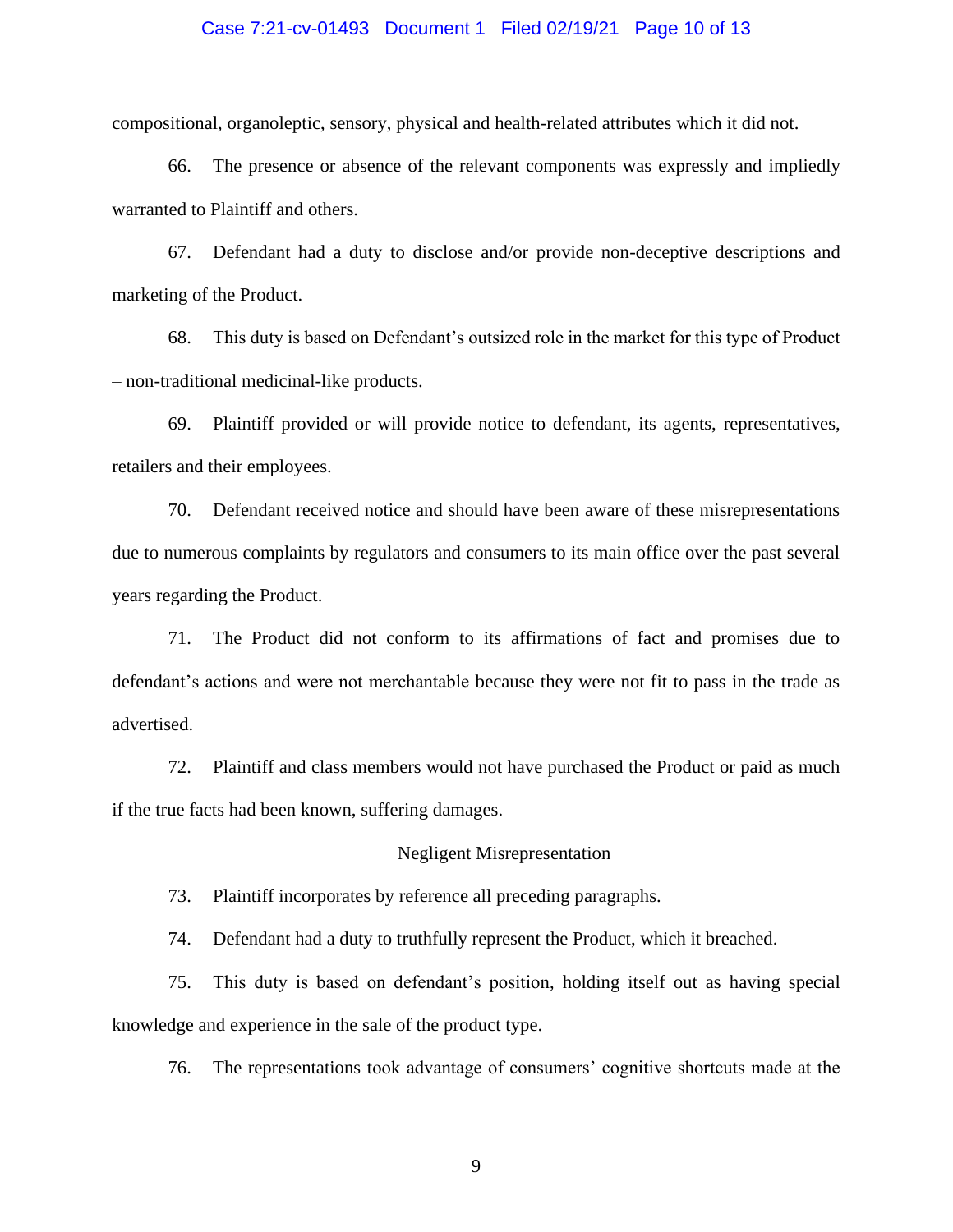### Case 7:21-cv-01493 Document 1 Filed 02/19/21 Page 10 of 13

compositional, organoleptic, sensory, physical and health-related attributes which it did not.

66. The presence or absence of the relevant components was expressly and impliedly warranted to Plaintiff and others.

67. Defendant had a duty to disclose and/or provide non-deceptive descriptions and marketing of the Product.

68. This duty is based on Defendant's outsized role in the market for this type of Product – non-traditional medicinal-like products.

69. Plaintiff provided or will provide notice to defendant, its agents, representatives, retailers and their employees.

70. Defendant received notice and should have been aware of these misrepresentations due to numerous complaints by regulators and consumers to its main office over the past several years regarding the Product.

71. The Product did not conform to its affirmations of fact and promises due to defendant's actions and were not merchantable because they were not fit to pass in the trade as advertised.

72. Plaintiff and class members would not have purchased the Product or paid as much if the true facts had been known, suffering damages.

#### Negligent Misrepresentation

73. Plaintiff incorporates by reference all preceding paragraphs.

74. Defendant had a duty to truthfully represent the Product, which it breached.

75. This duty is based on defendant's position, holding itself out as having special knowledge and experience in the sale of the product type.

76. The representations took advantage of consumers' cognitive shortcuts made at the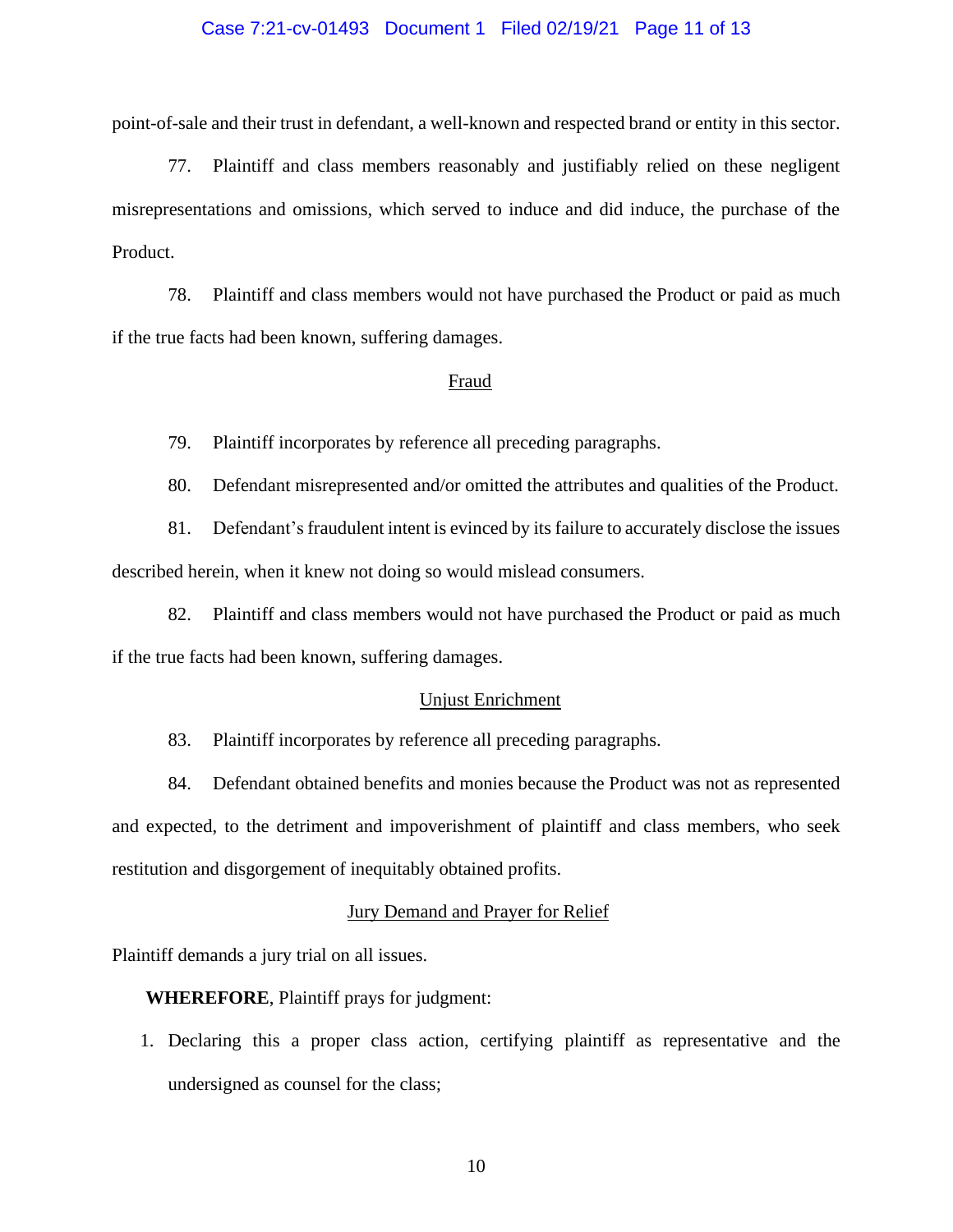## Case 7:21-cv-01493 Document 1 Filed 02/19/21 Page 11 of 13

point-of-sale and their trust in defendant, a well-known and respected brand or entity in this sector.

77. Plaintiff and class members reasonably and justifiably relied on these negligent misrepresentations and omissions, which served to induce and did induce, the purchase of the Product.

78. Plaintiff and class members would not have purchased the Product or paid as much if the true facts had been known, suffering damages.

#### Fraud

79. Plaintiff incorporates by reference all preceding paragraphs.

80. Defendant misrepresented and/or omitted the attributes and qualities of the Product.

81. Defendant's fraudulent intent is evinced by its failure to accurately disclose the issues described herein, when it knew not doing so would mislead consumers.

82. Plaintiff and class members would not have purchased the Product or paid as much if the true facts had been known, suffering damages.

#### Unjust Enrichment

83. Plaintiff incorporates by reference all preceding paragraphs.

84. Defendant obtained benefits and monies because the Product was not as represented and expected, to the detriment and impoverishment of plaintiff and class members, who seek restitution and disgorgement of inequitably obtained profits.

#### Jury Demand and Prayer for Relief

Plaintiff demands a jury trial on all issues.

**WHEREFORE**, Plaintiff prays for judgment:

1. Declaring this a proper class action, certifying plaintiff as representative and the undersigned as counsel for the class;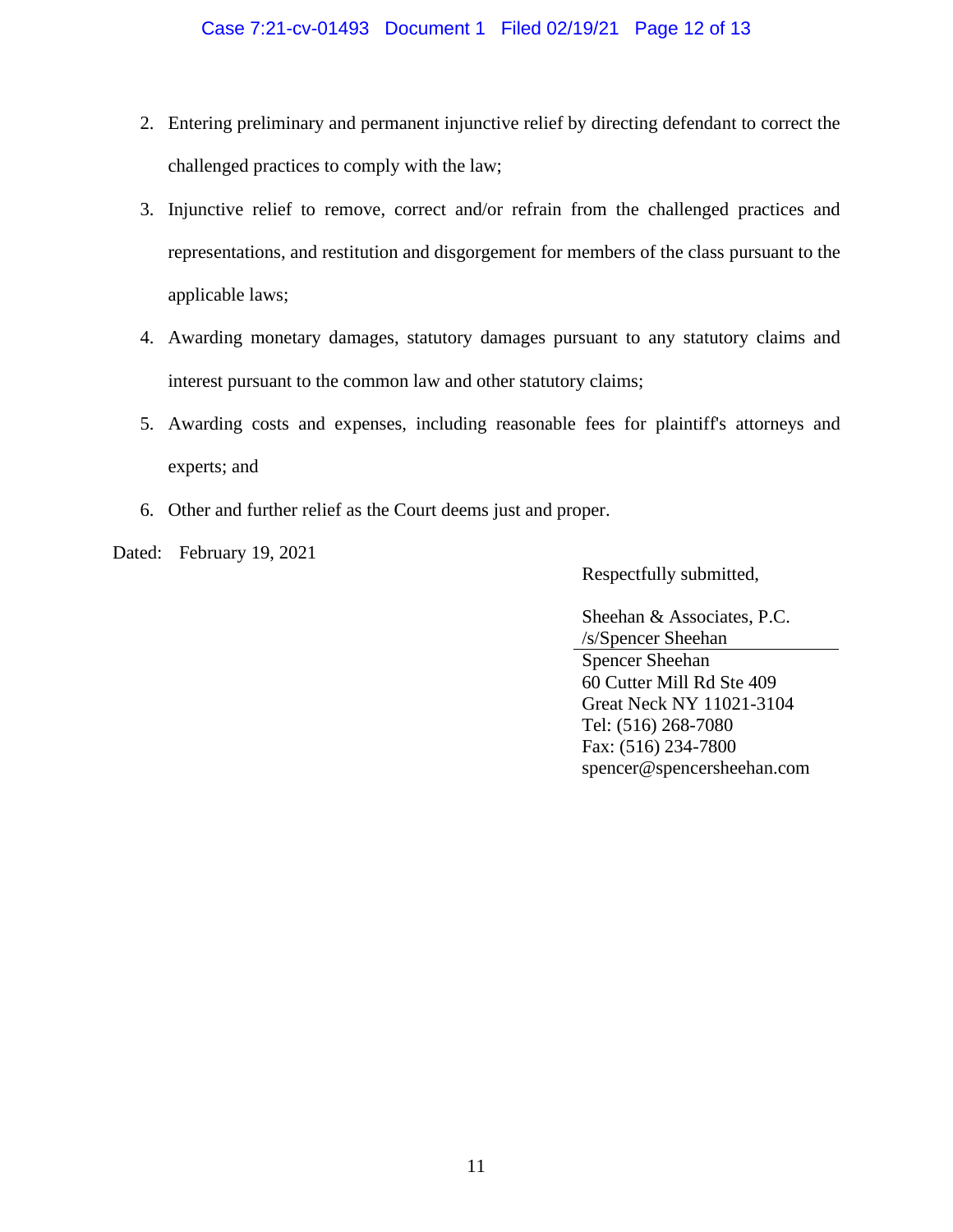- 2. Entering preliminary and permanent injunctive relief by directing defendant to correct the challenged practices to comply with the law;
- 3. Injunctive relief to remove, correct and/or refrain from the challenged practices and representations, and restitution and disgorgement for members of the class pursuant to the applicable laws;
- 4. Awarding monetary damages, statutory damages pursuant to any statutory claims and interest pursuant to the common law and other statutory claims;
- 5. Awarding costs and expenses, including reasonable fees for plaintiff's attorneys and experts; and
- 6. Other and further relief as the Court deems just and proper.
- Dated: February 19, 2021

Respectfully submitted,

Sheehan & Associates, P.C. /s/Spencer Sheehan Spencer Sheehan 60 Cutter Mill Rd Ste 409 Great Neck NY 11021-3104 Tel: (516) 268-7080 Fax: (516) 234-7800 spencer@spencersheehan.com